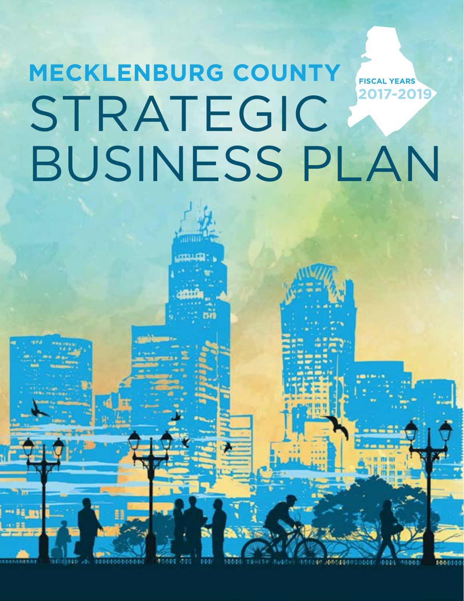# **MECKLENBURG COUNTY** STRATEGIC BUSINESS PLAN **2017-2019 FISCAL YEARS**



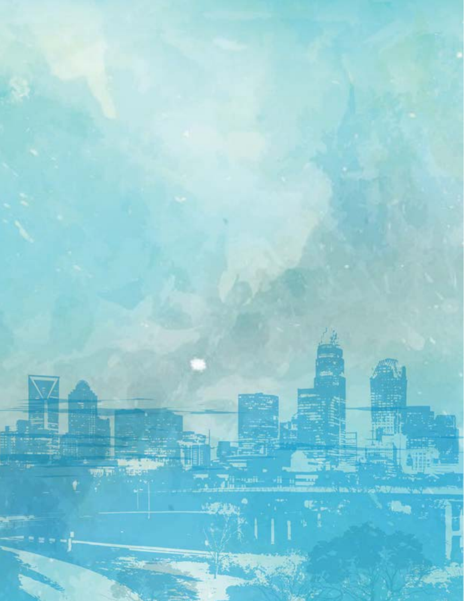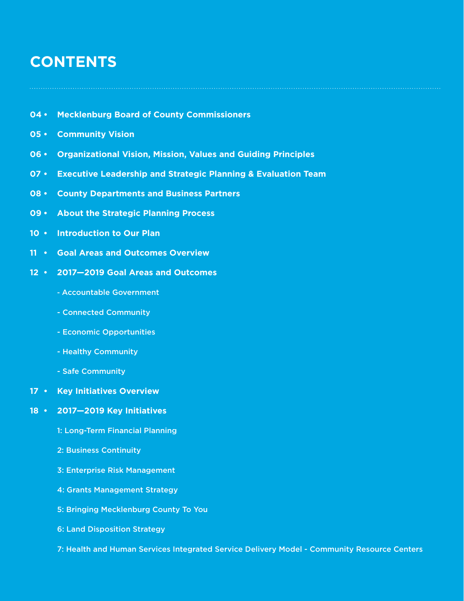## **CONTENTS**

- **04 • Mecklenburg Board of County Commissioners**
- **05 • Community Vision**
- **06 • Organizational Vision, Mission, Values and Guiding Principles**
- **07 • Executive Leadership and Strategic Planning & Evaluation Team**
- **08 • County Departments and Business Partners**
- **09 • About the Strategic Planning Process**
- **10 • Introduction to Our Plan**
- **11 • Goal Areas and Outcomes Overview**
- **12 • 2017—2019 Goal Areas and Outcomes**
	- - Accountable Government
	- Connected Community
	- Economic Opportunities
	- Healthy Community
	- Safe Community
- **17 • Key Initiatives Overview**

#### **18 • 2017—2019 Key Initiatives**

- 1: Long-Term Financial Planning
- 2: Business Continuity
- 3: Enterprise Risk Management
- 4: Grants Management Strategy
- 5: Bringing Mecklenburg County To You
- 6: Land Disposition Strategy
- 7: Health and Human Services Integrated Service Delivery Model Community Resource Centers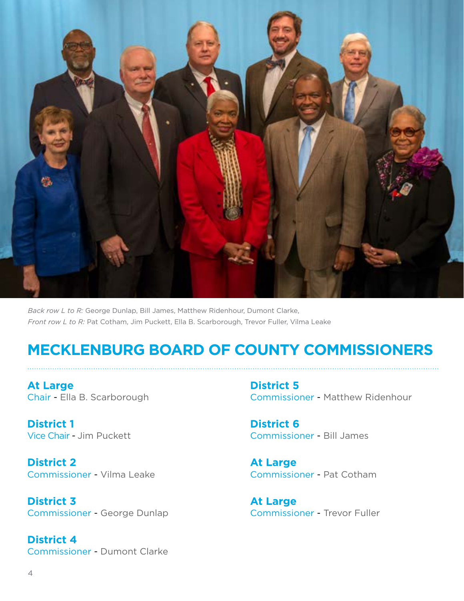

*Back row L to R:* George Dunlap, Bill James, Matthew Ridenhour, Dumont Clarke, *Front row L to R:* Pat Cotham, Jim Puckett, Ella B. Scarborough, Trevor Fuller, Vilma Leake

## **MECKLENBURG BOARD OF COUNTY COMMISSIONERS**

**At Large** Chair - Ella B. Scarborough

**District 1** Vice Chair - Jim Puckett

**District 2** Commissioner - Vilma Leake

**District 3** Commissioner - George Dunlap

**District 4** Commissioner - Dumont Clarke **District 5** Commissioner - Matthew Ridenhour

**District 6** Commissioner - Bill James

**At Large** Commissioner - Pat Cotham

**At Large** Commissioner - Trevor Fuller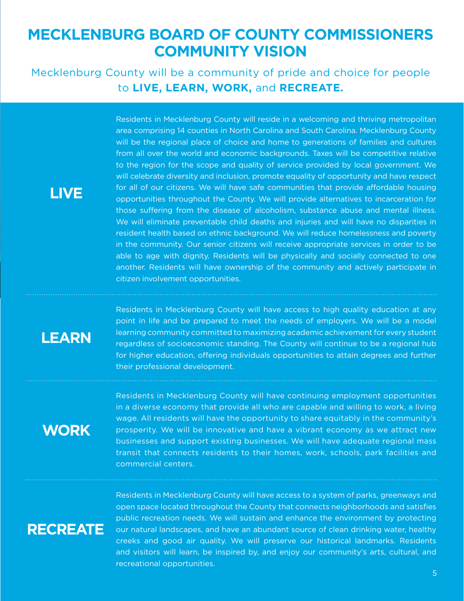### **MECKLENBURG BOARD OF COUNTY COMMISSIONERS COMMUNITY VISION**

Mecklenburg County will be a community of pride and choice for people to **LIVE, LEARN, WORK,** and **RECREATE.**

> Residents in Mecklenburg County will reside in a welcoming and thriving metropolitan area comprising 14 counties in North Carolina and South Carolina. Mecklenburg County will be the regional place of choice and home to generations of families and cultures from all over the world and economic backgrounds. Taxes will be competitive relative to the region for the scope and quality of service provided by local government. We will celebrate diversity and inclusion, promote equality of opportunity and have respect for all of our citizens. We will have safe communities that provide affordable housing opportunities throughout the County. We will provide alternatives to incarceration for those suffering from the disease of alcoholism, substance abuse and mental illness. We will eliminate preventable child deaths and injuries and will have no disparities in resident health based on ethnic background. We will reduce homelessness and poverty in the community. Our senior citizens will receive appropriate services in order to be able to age with dignity. Residents will be physically and socially connected to one another. Residents will have ownership of the community and actively participate in citizen involvement opportunities.



**LIVE**

Residents in Mecklenburg County will have access to high quality education at any point in life and be prepared to meet the needs of employers. We will be a model learning community committed to maximizing academic achievement for every student regardless of socioeconomic standing. The County will continue to be a regional hub for higher education, offering individuals opportunities to attain degrees and further their professional development.

## **WORK**

Residents in Mecklenburg County will have continuing employment opportunities in a diverse economy that provide all who are capable and willing to work, a living wage. All residents will have the opportunity to share equitably in the community's prosperity. We will be innovative and have a vibrant economy as we attract new businesses and support existing businesses. We will have adequate regional mass transit that connects residents to their homes, work, schools, park facilities and commercial centers.



Residents in Mecklenburg County will have access to a system of parks, greenways and open space located throughout the County that connects neighborhoods and satisfies public recreation needs. We will sustain and enhance the environment by protecting our natural landscapes, and have an abundant source of clean drinking water, healthy creeks and good air quality. We will preserve our historical landmarks. Residents and visitors will learn, be inspired by, and enjoy our community's arts, cultural, and recreational opportunities.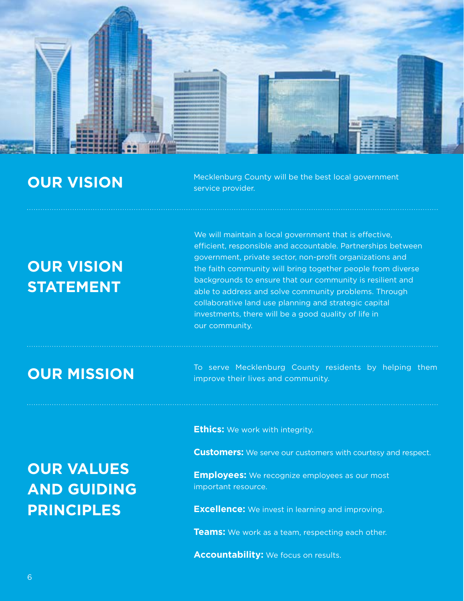

## **OUR VISION**

Mecklenburg County will be the best local government service provider.

## **OUR VISION STATEMENT**

We will maintain a local government that is effective, efficient, responsible and accountable. Partnerships between government, private sector, non-profit organizations and the faith community will bring together people from diverse backgrounds to ensure that our community is resilient and able to address and solve community problems. Through collaborative land use planning and strategic capital investments, there will be a good quality of life in our community.

## **OUR MISSION**

To serve Mecklenburg County residents by helping them improve their lives and community.

## **OUR VALUES AND GUIDING PRINCIPLES**

**Ethics:** We work with integrity.

**Customers:** We serve our customers with courtesy and respect.

**Employees:** We recognize employees as our most important resource.

**Excellence:** We invest in learning and improving.

**Teams:** We work as a team, respecting each other.

**Accountability:** We focus on results.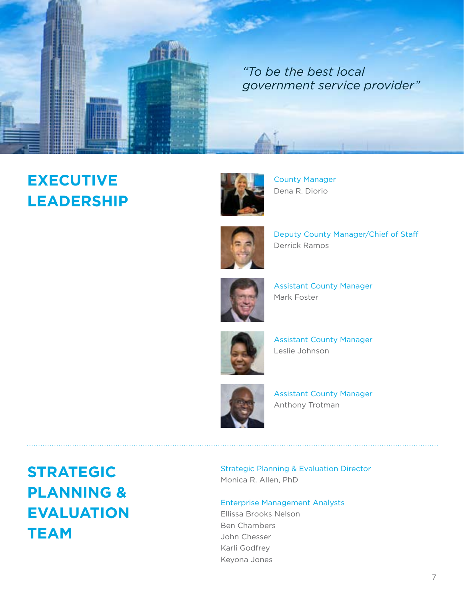

## **EXECUTIVE LEADERSHIP**



County Manager Dena R. Diorio



Deputy County Manager/Chief of Staff Derrick Ramos



Assistant County Manager Mark Foster



Assistant County Manager Leslie Johnson



Assistant County Manager Anthony Trotman

**STRATEGIC PLANNING & EVALUATION TEAM**

Strategic Planning & Evaluation Director Monica R. Allen, PhD

Enterprise Management Analysts

Ellissa Brooks Nelson Ben Chambers John Chesser Karli Godfrey Keyona Jones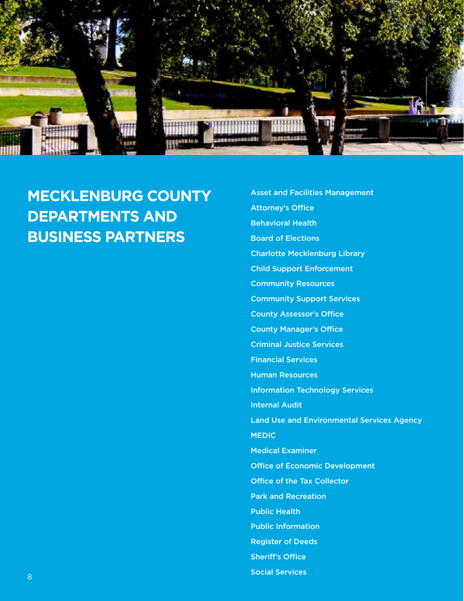

## **MECKLENBURG COUNTY DEPARTMENTS AND BUSINESS PARTNERS**

Asset and Facilities Management Attorney's Office Behavioral Health Board of Elections Charlotte Mecklenburg Library Child Support Enforcement Community Resources Community Support Services County Assessor's Office County Manager's Office Criminal Justice Services Financial Services Human Resources Information Technology Services Internal Audit Land Use and Environmental Services Agency MEDIC Medical Examiner Office of Economic Development Office of the Tax Collector Park and Recreation Public Health Public Information Register of Deeds Sheriff's Office Social Services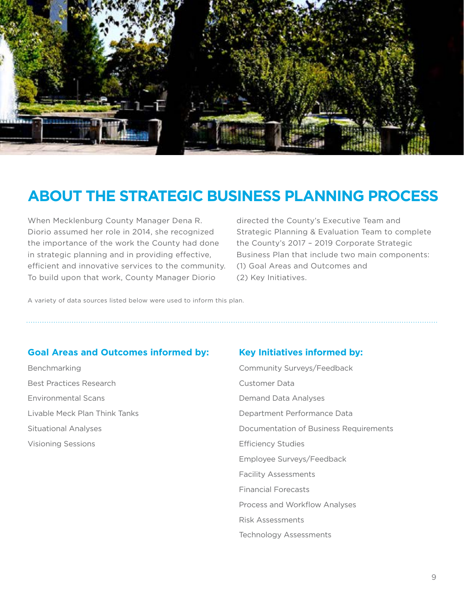

### **ABOUT THE STRATEGIC BUSINESS PLANNING PROCESS**

When Mecklenburg County Manager Dena R. Diorio assumed her role in 2014, she recognized the importance of the work the County had done in strategic planning and in providing effective, efficient and innovative services to the community. To build upon that work, County Manager Diorio

directed the County's Executive Team and Strategic Planning & Evaluation Team to complete the County's 2017 – 2019 Corporate Strategic Business Plan that include two main components: (1) Goal Areas and Outcomes and (2) Key Initiatives.

A variety of data sources listed below were used to inform this plan.

#### **Goal Areas and Outcomes informed by:**

Benchmarking Best Practices Research Environmental Scans Livable Meck Plan Think Tanks Situational Analyses Visioning Sessions

#### **Key Initiatives informed by:**

Community Surveys/Feedback Customer Data Demand Data Analyses Department Performance Data Documentation of Business Requirements Efficiency Studies Employee Surveys/Feedback Facility Assessments Financial Forecasts Process and Workflow Analyses Risk Assessments Technology Assessments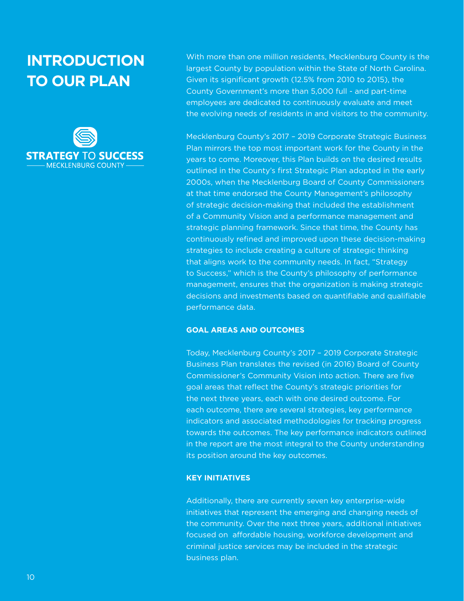## **INTRODUCTION TO OUR PLAN**



With more than one million residents, Mecklenburg County is the largest County by population within the State of North Carolina. Given its significant growth (12.5% from 2010 to 2015), the County Government's more than 5,000 full - and part-time employees are dedicated to continuously evaluate and meet the evolving needs of residents in and visitors to the community.

Mecklenburg County's 2017 – 2019 Corporate Strategic Business Plan mirrors the top most important work for the County in the years to come. Moreover, this Plan builds on the desired results outlined in the County's first Strategic Plan adopted in the early 2000s, when the Mecklenburg Board of County Commissioners at that time endorsed the County Management's philosophy of strategic decision-making that included the establishment of a Community Vision and a performance management and strategic planning framework. Since that time, the County has continuously refined and improved upon these decision-making strategies to include creating a culture of strategic thinking that aligns work to the community needs. In fact, "Strategy to Success," which is the County's philosophy of performance management, ensures that the organization is making strategic decisions and investments based on quantifiable and qualifiable performance data.

#### **GOAL AREAS AND OUTCOMES**

Today, Mecklenburg County's 2017 – 2019 Corporate Strategic Business Plan translates the revised (in 2016) Board of County Commissioner's Community Vision into action. There are five goal areas that reflect the County's strategic priorities for the next three years, each with one desired outcome. For each outcome, there are several strategies, key performance indicators and associated methodologies for tracking progress towards the outcomes. The key performance indicators outlined in the report are the most integral to the County understanding its position around the key outcomes.

#### **KEY INITIATIVES**

Additionally, there are currently seven key enterprise-wide initiatives that represent the emerging and changing needs of the community. Over the next three years, additional initiatives focused on affordable housing, workforce development and criminal justice services may be included in the strategic business plan.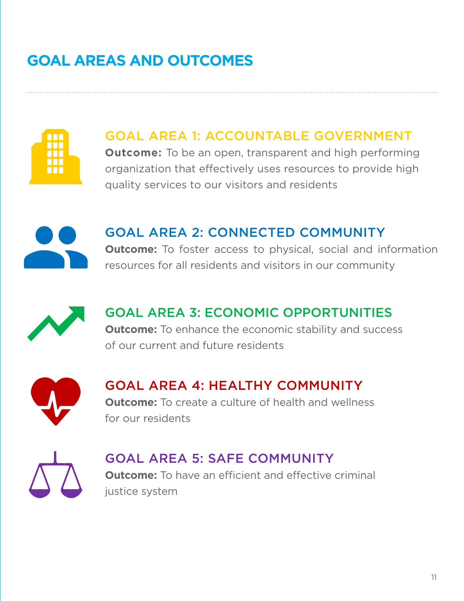## **GOAL AREAS AND OUTCOMES**



### GOAL AREA 1: ACCOUNTABLE GOVERNMENT

**Outcome:** To be an open, transparent and high performing organization that effectively uses resources to provide high quality services to our visitors and residents



### GOAL AREA 2: CONNECTED COMMUNITY

**Outcome:** To foster access to physical, social and information resources for all residents and visitors in our community



GOAL AREA 3: ECONOMIC OPPORTUNITIES **Outcome:** To enhance the economic stability and success of our current and future residents



GOAL AREA 4: HEALTHY COMMUNITY **Outcome:** To create a culture of health and wellness for our residents



#### GOAL AREA 5: SAFE COMMUNITY **Outcome:** To have an efficient and effective criminal justice system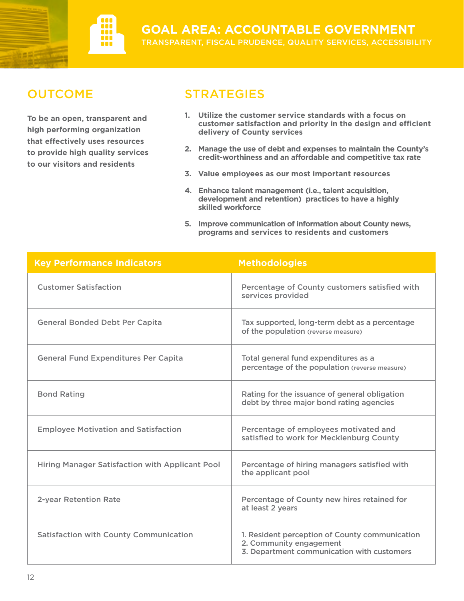**To be an open, transparent and high performing organization that effectively uses resources to provide high quality services to our visitors and residents**

- **1. Utilize the customer service standards with a focus on customer satisfaction and priority in the design and efficient delivery of County services**
- **2. Manage the use of debt and expenses to maintain the County's credit-worthiness and an affordable and competitive tax rate**
- **3. Value employees as our most important resources**
- **4. Enhance talent management (i.e., talent acquisition, development and retention) practices to have a highly skilled workforce**
- **5. Improve communication of information about County news, programs and services to residents and customers**

| <b>Key Performance Indicators</b>                      | <b>Methodologies</b>                                                                                                    |
|--------------------------------------------------------|-------------------------------------------------------------------------------------------------------------------------|
| <b>Customer Satisfaction</b>                           | Percentage of County customers satisfied with<br>services provided                                                      |
| <b>General Bonded Debt Per Capita</b>                  | Tax supported, long-term debt as a percentage<br>of the population (reverse measure)                                    |
| <b>General Fund Expenditures Per Capita</b>            | Total general fund expenditures as a<br>percentage of the population (reverse measure)                                  |
| <b>Bond Rating</b>                                     | Rating for the issuance of general obligation<br>debt by three major bond rating agencies                               |
| <b>Employee Motivation and Satisfaction</b>            | Percentage of employees motivated and<br>satisfied to work for Mecklenburg County                                       |
| <b>Hiring Manager Satisfaction with Applicant Pool</b> | Percentage of hiring managers satisfied with<br>the applicant pool                                                      |
| 2-year Retention Rate                                  | Percentage of County new hires retained for<br>at least 2 years                                                         |
| <b>Satisfaction with County Communication</b>          | 1. Resident perception of County communication<br>2. Community engagement<br>3. Department communication with customers |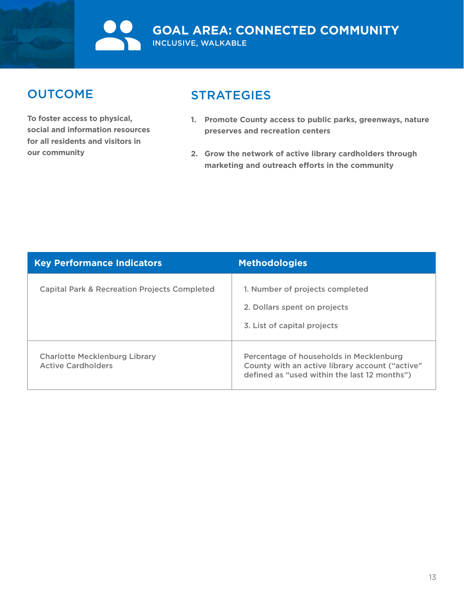**To foster access to physical, social and information resources for all residents and visitors in our community**

- **1. Promote County access to public parks, greenways, nature preserves and recreation centers**
- **2. Grow the network of active library cardholders through marketing and outreach efforts in the community**

| <b>Key Performance Indicators</b>                                 | <b>Methodologies</b>                                                                                                                       |
|-------------------------------------------------------------------|--------------------------------------------------------------------------------------------------------------------------------------------|
| <b>Capital Park &amp; Recreation Projects Completed</b>           | 1. Number of projects completed<br>2. Dollars spent on projects<br>3. List of capital projects                                             |
| <b>Charlotte Mecklenburg Library</b><br><b>Active Cardholders</b> | Percentage of households in Mecklenburg<br>County with an active library account ("active"<br>defined as "used within the last 12 months") |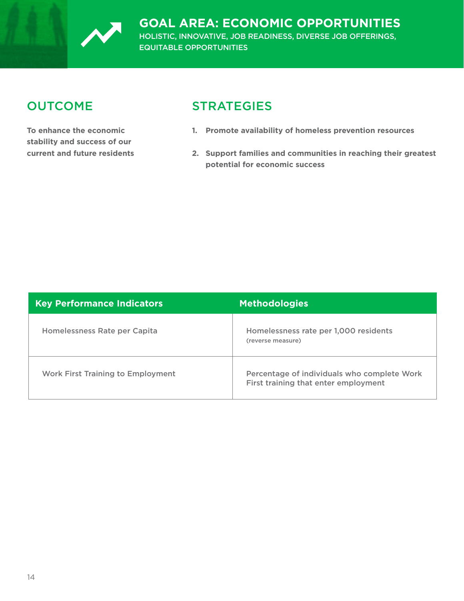

**To enhance the economic stability and success of our current and future residents**

- **1. Promote availability of homeless prevention resources**
- **2. Support families and communities in reaching their greatest potential for economic success**

| <b>Key Performance Indicators</b>        | <b>Methodologies</b>                                                                |
|------------------------------------------|-------------------------------------------------------------------------------------|
| Homelessness Rate per Capita             | Homelessness rate per 1,000 residents<br>(reverse measure)                          |
| <b>Work First Training to Employment</b> | Percentage of individuals who complete Work<br>First training that enter employment |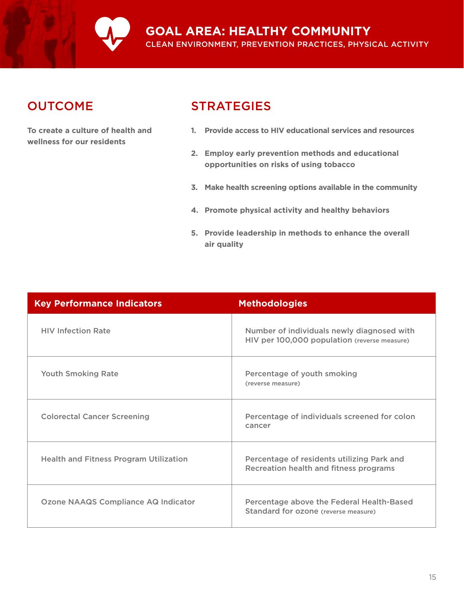**GOAL AREA: HEALTHY COMMUNITY** CLEAN ENVIRONMENT, PREVENTION PRACTICES, PHYSICAL ACTIVITY

### **OUTCOME**

**To create a culture of health and wellness for our residents**

- **1. Provide access to HIV educational services and resources**
- **2. Employ early prevention methods and educational opportunities on risks of using tobacco**
- **3. Make health screening options available in the community**
- **4. Promote physical activity and healthy behaviors**
- **5. Provide leadership in methods to enhance the overall air quality**

| <b>Key Performance Indicators</b>             | <b>Methodologies</b>                                                                       |
|-----------------------------------------------|--------------------------------------------------------------------------------------------|
| <b>HIV Infection Rate</b>                     | Number of individuals newly diagnosed with<br>HIV per 100,000 population (reverse measure) |
| <b>Youth Smoking Rate</b>                     | Percentage of youth smoking<br>(reverse measure)                                           |
| <b>Colorectal Cancer Screening</b>            | Percentage of individuals screened for colon<br>cancer                                     |
| <b>Health and Fitness Program Utilization</b> | Percentage of residents utilizing Park and<br>Recreation health and fitness programs       |
| Ozone NAAQS Compliance AQ Indicator           | Percentage above the Federal Health-Based<br>Standard for ozone (reverse measure)          |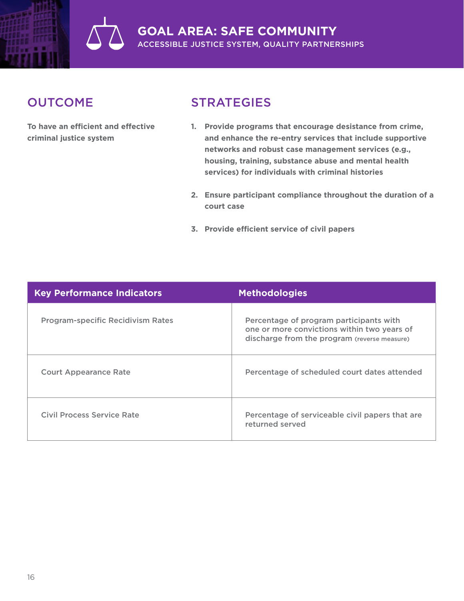

**To have an efficient and effective criminal justice system**

- **1. Provide programs that encourage desistance from crime, and enhance the re-entry services that include supportive networks and robust case management services (e.g., housing, training, substance abuse and mental health services) for individuals with criminal histories**
- **2. Ensure participant compliance throughout the duration of a court case**
- **3. Provide efficient service of civil papers**

| <b>Key Performance Indicators</b>        | <b>Methodologies</b>                                                                                                                   |
|------------------------------------------|----------------------------------------------------------------------------------------------------------------------------------------|
| <b>Program-specific Recidivism Rates</b> | Percentage of program participants with<br>one or more convictions within two years of<br>discharge from the program (reverse measure) |
| <b>Court Appearance Rate</b>             | Percentage of scheduled court dates attended                                                                                           |
| <b>Civil Process Service Rate</b>        | Percentage of serviceable civil papers that are<br>returned served                                                                     |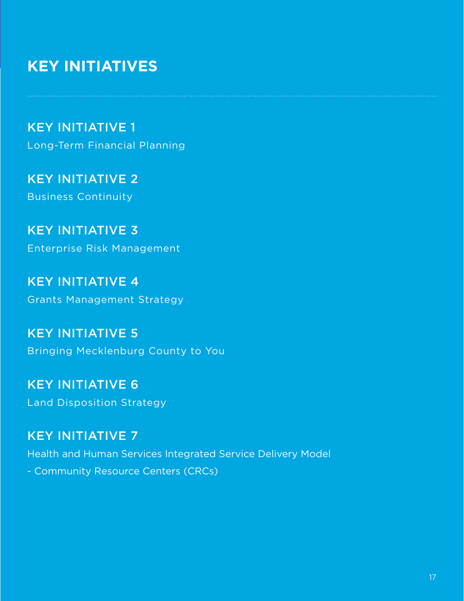## **KEY INITIATIVES**

KEY INITIATIVE 1 Long-Term Financial Planning

KEY INITIATIVE 2 Business Continuity

KEY INITIATIVE 3 Enterprise Risk Management

KEY INITIATIVE 4 Grants Management Strategy

KEY INITIATIVE 5 Bringing Mecklenburg County to You

#### KEY INITIATIVE 6

Land Disposition Strategy

#### KEY INITIATIVE 7

Health and Human Services Integrated Service Delivery Model - Community Resource Centers (CRCs)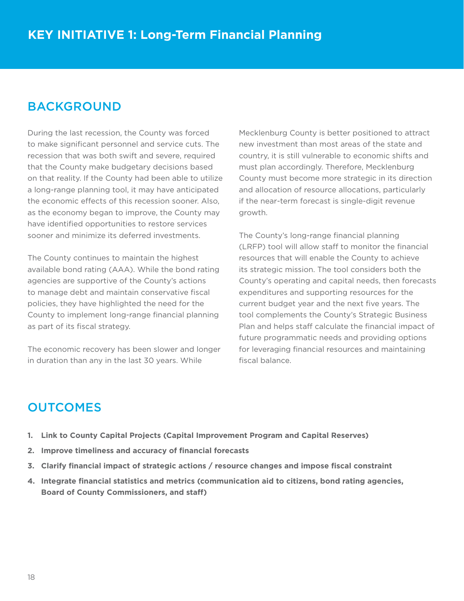During the last recession, the County was forced to make significant personnel and service cuts. The recession that was both swift and severe, required that the County make budgetary decisions based on that reality. If the County had been able to utilize a long-range planning tool, it may have anticipated the economic effects of this recession sooner. Also, as the economy began to improve, the County may have identified opportunities to restore services sooner and minimize its deferred investments.

The County continues to maintain the highest available bond rating (AAA). While the bond rating agencies are supportive of the County's actions to manage debt and maintain conservative fiscal policies, they have highlighted the need for the County to implement long-range financial planning as part of its fiscal strategy.

The economic recovery has been slower and longer in duration than any in the last 30 years. While

Mecklenburg County is better positioned to attract new investment than most areas of the state and country, it is still vulnerable to economic shifts and must plan accordingly. Therefore, Mecklenburg County must become more strategic in its direction and allocation of resource allocations, particularly if the near-term forecast is single-digit revenue growth.

The County's long-range financial planning (LRFP) tool will allow staff to monitor the financial resources that will enable the County to achieve its strategic mission. The tool considers both the County's operating and capital needs, then forecasts expenditures and supporting resources for the current budget year and the next five years. The tool complements the County's Strategic Business Plan and helps staff calculate the financial impact of future programmatic needs and providing options for leveraging financial resources and maintaining fiscal balance.

#### **OUTCOMES**

- **1. Link to County Capital Projects (Capital Improvement Program and Capital Reserves)**
- **2. Improve timeliness and accuracy of financial forecasts**
- **3. Clarify financial impact of strategic actions / resource changes and impose fiscal constraint**
- **4. Integrate financial statistics and metrics (communication aid to citizens, bond rating agencies, Board of County Commissioners, and staff)**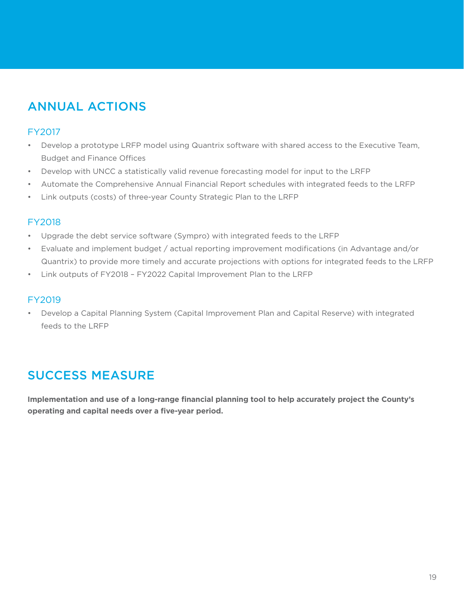#### FY2017

- Develop a prototype LRFP model using Quantrix software with shared access to the Executive Team, Budget and Finance Offices
- Develop with UNCC a statistically valid revenue forecasting model for input to the LRFP
- Automate the Comprehensive Annual Financial Report schedules with integrated feeds to the LRFP
- Link outputs (costs) of three-year County Strategic Plan to the LRFP

#### FY2018

- Upgrade the debt service software (Sympro) with integrated feeds to the LRFP
- Evaluate and implement budget / actual reporting improvement modifications (in Advantage and/or Quantrix) to provide more timely and accurate projections with options for integrated feeds to the LRFP
- Link outputs of FY2018 FY2022 Capital Improvement Plan to the LRFP

#### FY2019

• Develop a Capital Planning System (Capital Improvement Plan and Capital Reserve) with integrated feeds to the LRFP

### SUCCESS MEASURE

**Implementation and use of a long-range financial planning tool to help accurately project the County's operating and capital needs over a five-year period.**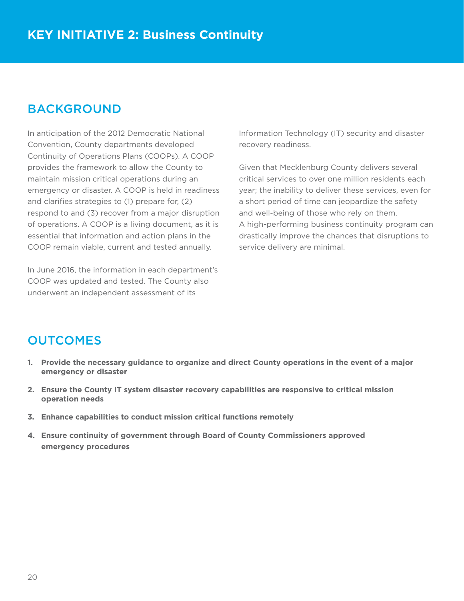In anticipation of the 2012 Democratic National Convention, County departments developed Continuity of Operations Plans (COOPs). A COOP provides the framework to allow the County to maintain mission critical operations during an emergency or disaster. A COOP is held in readiness and clarifies strategies to (1) prepare for, (2) respond to and (3) recover from a major disruption of operations. A COOP is a living document, as it is essential that information and action plans in the COOP remain viable, current and tested annually.

In June 2016, the information in each department's COOP was updated and tested. The County also underwent an independent assessment of its

Information Technology (IT) security and disaster recovery readiness.

Given that Mecklenburg County delivers several critical services to over one million residents each year; the inability to deliver these services, even for a short period of time can jeopardize the safety and well-being of those who rely on them. A high-performing business continuity program can drastically improve the chances that disruptions to service delivery are minimal.

### **OUTCOMES**

- **1. Provide the necessary guidance to organize and direct County operations in the event of a major emergency or disaster**
- **2. Ensure the County IT system disaster recovery capabilities are responsive to critical mission operation needs**
- **3. Enhance capabilities to conduct mission critical functions remotely**
- **4. Ensure continuity of government through Board of County Commissioners approved emergency procedures**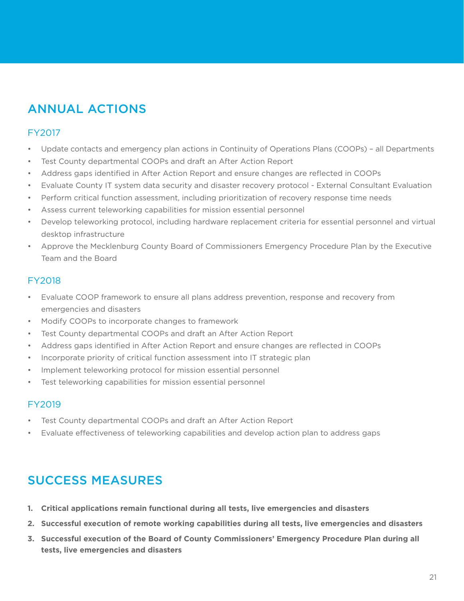#### FY2017

- Update contacts and emergency plan actions in Continuity of Operations Plans (COOPs) all Departments
- Test County departmental COOPs and draft an After Action Report
- Address gaps identified in After Action Report and ensure changes are reflected in COOPs
- Evaluate County IT system data security and disaster recovery protocol External Consultant Evaluation
- Perform critical function assessment, including prioritization of recovery response time needs
- Assess current teleworking capabilities for mission essential personnel
- Develop teleworking protocol, including hardware replacement criteria for essential personnel and virtual desktop infrastructure
- Approve the Mecklenburg County Board of Commissioners Emergency Procedure Plan by the Executive Team and the Board

#### FY2018

- Evaluate COOP framework to ensure all plans address prevention, response and recovery from emergencies and disasters
- Modify COOPs to incorporate changes to framework
- Test County departmental COOPs and draft an After Action Report
- Address gaps identified in After Action Report and ensure changes are reflected in COOPs
- Incorporate priority of critical function assessment into IT strategic plan
- Implement teleworking protocol for mission essential personnel
- Test teleworking capabilities for mission essential personnel

#### FY2019

- Test County departmental COOPs and draft an After Action Report
- Evaluate effectiveness of teleworking capabilities and develop action plan to address gaps

### SUCCESS MEASURES

- **1. Critical applications remain functional during all tests, live emergencies and disasters**
- **2. Successful execution of remote working capabilities during all tests, live emergencies and disasters**
- **3. Successful execution of the Board of County Commissioners' Emergency Procedure Plan during all tests, live emergencies and disasters**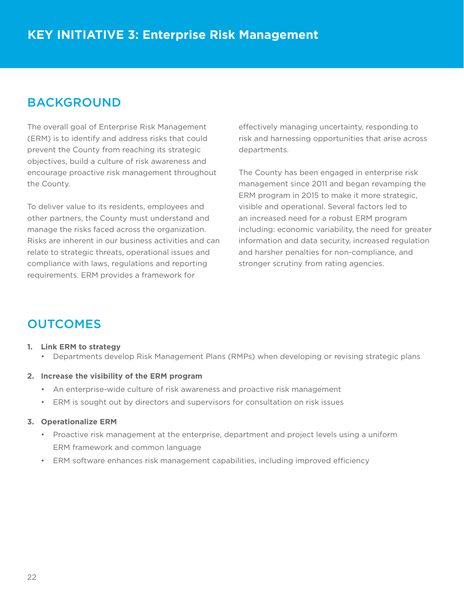The overall goal of Enterprise Risk Management (ERM) is to identify and address risks that could prevent the County from reaching its strategic objectives, build a culture of risk awareness and encourage proactive risk management throughout the County.

To deliver value to its residents, employees and other partners, the County must understand and manage the risks faced across the organization. Risks are inherent in our business activities and can relate to strategic threats, operational issues and compliance with laws, regulations and reporting requirements. ERM provides a framework for

effectively managing uncertainty, responding to risk and harnessing opportunities that arise across departments.

The County has been engaged in enterprise risk management since 2011 and began revamping the ERM program in 2015 to make it more strategic, visible and operational. Several factors led to an increased need for a robust ERM program including: economic variability, the need for greater information and data security, increased regulation and harsher penalties for non-compliance, and stronger scrutiny from rating agencies.

#### **OUTCOMES**

#### **1. Link ERM to strategy**

• Departments develop Risk Management Plans (RMPs) when developing or revising strategic plans

#### **2. Increase the visibility of the ERM program**

- An enterprise-wide culture of risk awareness and proactive risk management
- ERM is sought out by directors and supervisors for consultation on risk issues

#### **3. Operationalize ERM**

- Proactive risk management at the enterprise, department and project levels using a uniform ERM framework and common language
- ERM software enhances risk management capabilities, including improved efficiency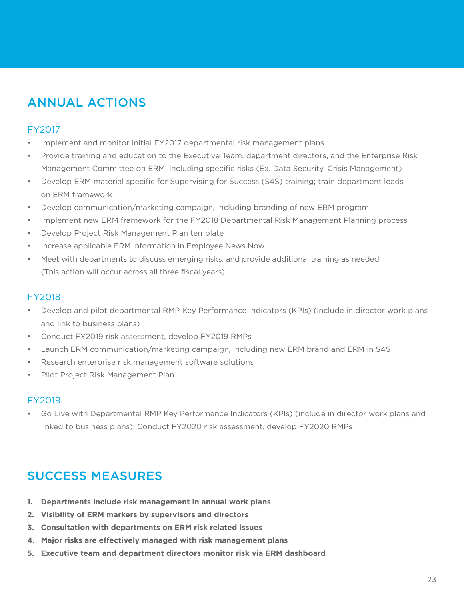#### FY2017

- Implement and monitor initial FY2017 departmental risk management plans
- Provide training and education to the Executive Team, department directors, and the Enterprise Risk Management Committee on ERM, including specific risks (Ex. Data Security, Crisis Management)
- Develop ERM material specific for Supervising for Success (S4S) training; train department leads on ERM framework
- Develop communication/marketing campaign, including branding of new ERM program
- Implement new ERM framework for the FY2018 Departmental Risk Management Planning process
- Develop Project Risk Management Plan template
- Increase applicable ERM information in Employee News Now
- Meet with departments to discuss emerging risks, and provide additional training as needed (This action will occur across all three fiscal years)

#### FY2018

- Develop and pilot departmental RMP Key Performance Indicators (KPIs) (include in director work plans and link to business plans)
- Conduct FY2019 risk assessment, develop FY2019 RMPs
- Launch ERM communication/marketing campaign, including new ERM brand and ERM in S4S
- Research enterprise risk management software solutions
- Pilot Project Risk Management Plan

#### FY2019

• Go Live with Departmental RMP Key Performance Indicators (KPIs) (include in director work plans and linked to business plans); Conduct FY2020 risk assessment, develop FY2020 RMPs

### SUCCESS MEASURES

- **1. Departments include risk management in annual work plans**
- **2. Visibility of ERM markers by supervisors and directors**
- **3. Consultation with departments on ERM risk related issues**
- **4. Major risks are effectively managed with risk management plans**
- **5. Executive team and department directors monitor risk via ERM dashboard**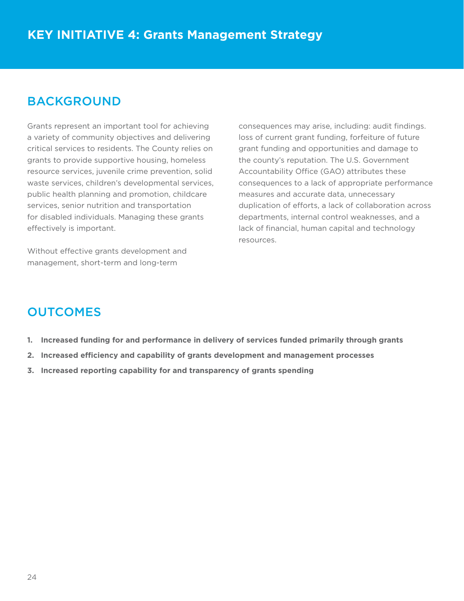Grants represent an important tool for achieving a variety of community objectives and delivering critical services to residents. The County relies on grants to provide supportive housing, homeless resource services, juvenile crime prevention, solid waste services, children's developmental services, public health planning and promotion, childcare services, senior nutrition and transportation for disabled individuals. Managing these grants effectively is important.

Without effective grants development and management, short-term and long-term

consequences may arise, including: audit findings. loss of current grant funding, forfeiture of future grant funding and opportunities and damage to the county's reputation. The U.S. Government Accountability Office (GAO) attributes these consequences to a lack of appropriate performance measures and accurate data, unnecessary duplication of efforts, a lack of collaboration across departments, internal control weaknesses, and a lack of financial, human capital and technology resources.

### **OUTCOMES**

- **1. Increased funding for and performance in delivery of services funded primarily through grants**
- **2. Increased efficiency and capability of grants development and management processes**
- **3. Increased reporting capability for and transparency of grants spending**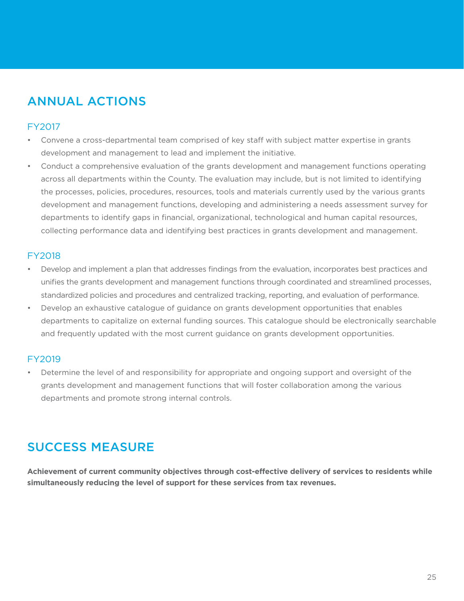#### FY2017

- Convene a cross-departmental team comprised of key staff with subject matter expertise in grants development and management to lead and implement the initiative.
- Conduct a comprehensive evaluation of the grants development and management functions operating across all departments within the County. The evaluation may include, but is not limited to identifying the processes, policies, procedures, resources, tools and materials currently used by the various grants development and management functions, developing and administering a needs assessment survey for departments to identify gaps in financial, organizational, technological and human capital resources, collecting performance data and identifying best practices in grants development and management.

#### FY2018

- Develop and implement a plan that addresses findings from the evaluation, incorporates best practices and unifies the grants development and management functions through coordinated and streamlined processes, standardized policies and procedures and centralized tracking, reporting, and evaluation of performance.
- Develop an exhaustive catalogue of guidance on grants development opportunities that enables departments to capitalize on external funding sources. This catalogue should be electronically searchable and frequently updated with the most current guidance on grants development opportunities.

#### FY2019

• Determine the level of and responsibility for appropriate and ongoing support and oversight of the grants development and management functions that will foster collaboration among the various departments and promote strong internal controls.

### SUCCESS MEASURE

**Achievement of current community objectives through cost-effective delivery of services to residents while simultaneously reducing the level of support for these services from tax revenues.**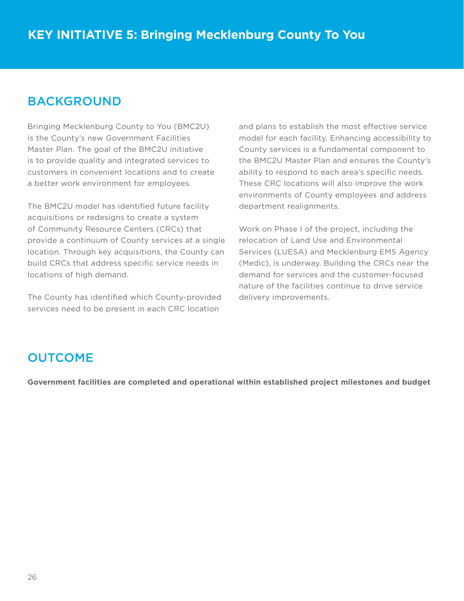Bringing Mecklenburg County to You (BMC2U) is the County's new Government Facilities Master Plan. The goal of the BMC2U initiative is to provide quality and integrated services to customers in convenient locations and to create a better work environment for employees.

The BMC2U model has identified future facility acquisitions or redesigns to create a system of Community Resource Centers (CRCs) that provide a continuum of County services at a single location. Through key acquisitions, the County can build CRCs that address specific service needs in locations of high demand.

The County has identified which County-provided services need to be present in each CRC location

and plans to establish the most effective service model for each facility. Enhancing accessibility to County services is a fundamental component to the BMC2U Master Plan and ensures the County's ability to respond to each area's specific needs. These CRC locations will also improve the work environments of County employees and address department realignments.

Work on Phase I of the project, including the relocation of Land Use and Environmental Services (LUESA) and Mecklenburg EMS Agency (Medic), is underway. Building the CRCs near the demand for services and the customer-focused nature of the facilities continue to drive service delivery improvements.

### **OUTCOME**

**Government facilities are completed and operational within established project milestones and budget**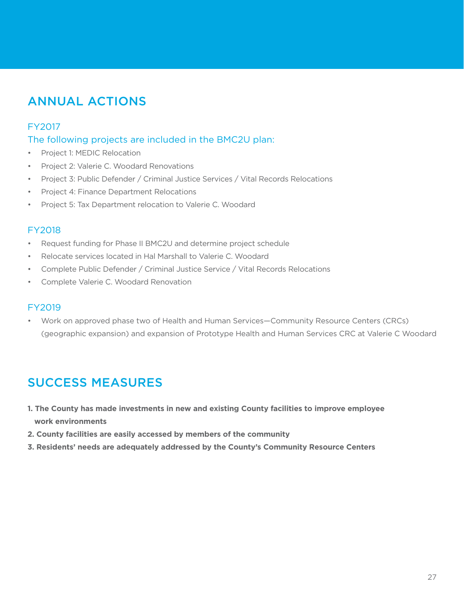#### FY2017

#### The following projects are included in the BMC2U plan:

- Project 1: MEDIC Relocation
- Project 2: Valerie C. Woodard Renovations
- Project 3: Public Defender / Criminal Justice Services / Vital Records Relocations
- Project 4: Finance Department Relocations
- Project 5: Tax Department relocation to Valerie C. Woodard

#### FY2018

- Request funding for Phase II BMC2U and determine project schedule
- Relocate services located in Hal Marshall to Valerie C. Woodard
- Complete Public Defender / Criminal Justice Service / Vital Records Relocations
- Complete Valerie C. Woodard Renovation

#### FY2019

• Work on approved phase two of Health and Human Services—Community Resource Centers (CRCs) (geographic expansion) and expansion of Prototype Health and Human Services CRC at Valerie C Woodard

### SUCCESS MEASURES

- **1. The County has made investments in new and existing County facilities to improve employee work environments**
- **2. County facilities are easily accessed by members of the community**
- **3. Residents' needs are adequately addressed by the County's Community Resource Centers**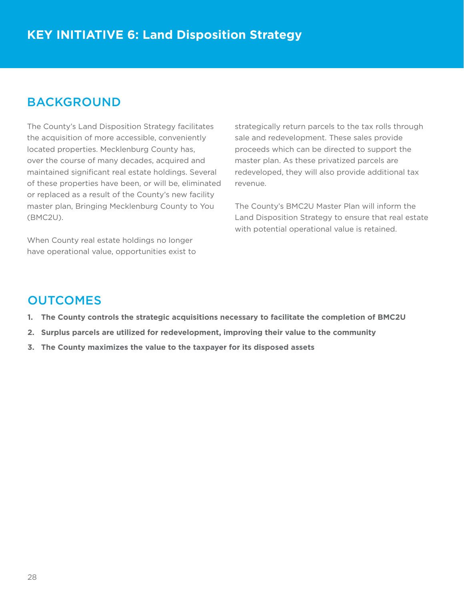The County's Land Disposition Strategy facilitates the acquisition of more accessible, conveniently located properties. Mecklenburg County has, over the course of many decades, acquired and maintained significant real estate holdings. Several of these properties have been, or will be, eliminated or replaced as a result of the County's new facility master plan, Bringing Mecklenburg County to You (BMC2U).

When County real estate holdings no longer have operational value, opportunities exist to strategically return parcels to the tax rolls through sale and redevelopment. These sales provide proceeds which can be directed to support the master plan. As these privatized parcels are redeveloped, they will also provide additional tax revenue.

The County's BMC2U Master Plan will inform the Land Disposition Strategy to ensure that real estate with potential operational value is retained.

#### **OUTCOMES**

- **1. The County controls the strategic acquisitions necessary to facilitate the completion of BMC2U**
- **2. Surplus parcels are utilized for redevelopment, improving their value to the community**
- **3. The County maximizes the value to the taxpayer for its disposed assets**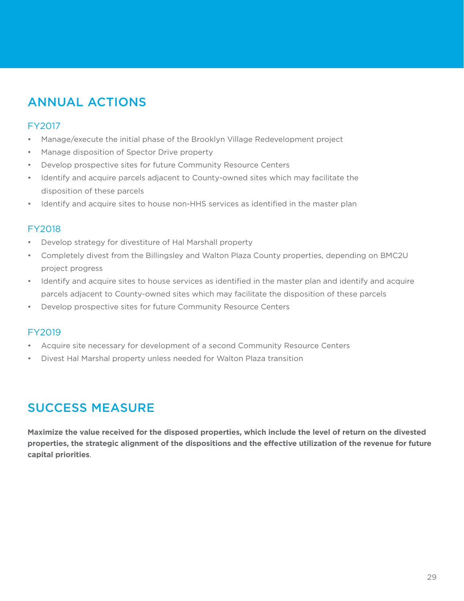#### FY2017

- Manage/execute the initial phase of the Brooklyn Village Redevelopment project
- Manage disposition of Spector Drive property
- Develop prospective sites for future Community Resource Centers
- Identify and acquire parcels adjacent to County-owned sites which may facilitate the disposition of these parcels
- Identify and acquire sites to house non-HHS services as identified in the master plan

#### FY2018

- Develop strategy for divestiture of Hal Marshall property
- Completely divest from the Billingsley and Walton Plaza County properties, depending on BMC2U project progress
- Identify and acquire sites to house services as identified in the master plan and identify and acquire parcels adjacent to County-owned sites which may facilitate the disposition of these parcels
- Develop prospective sites for future Community Resource Centers

#### FY2019

- Acquire site necessary for development of a second Community Resource Centers
- Divest Hal Marshal property unless needed for Walton Plaza transition

### SUCCESS MEASURE

**Maximize the value received for the disposed properties, which include the level of return on the divested properties, the strategic alignment of the dispositions and the effective utilization of the revenue for future capital priorities**.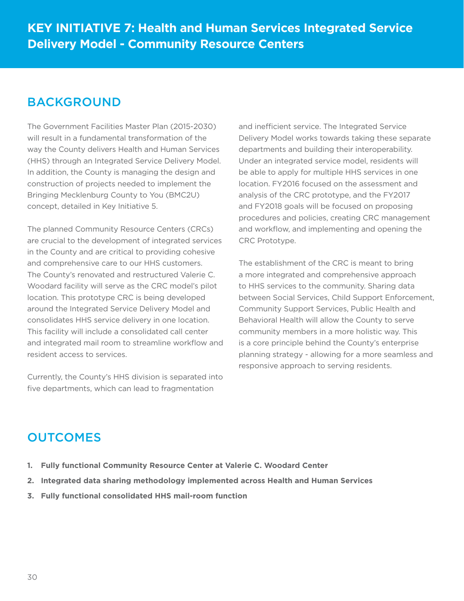The Government Facilities Master Plan (2015-2030) will result in a fundamental transformation of the way the County delivers Health and Human Services (HHS) through an Integrated Service Delivery Model. In addition, the County is managing the design and construction of projects needed to implement the Bringing Mecklenburg County to You (BMC2U) concept, detailed in Key Initiative 5.

The planned Community Resource Centers (CRCs) are crucial to the development of integrated services in the County and are critical to providing cohesive and comprehensive care to our HHS customers. The County's renovated and restructured Valerie C. Woodard facility will serve as the CRC model's pilot location. This prototype CRC is being developed around the Integrated Service Delivery Model and consolidates HHS service delivery in one location. This facility will include a consolidated call center and integrated mail room to streamline workflow and resident access to services.

Currently, the County's HHS division is separated into five departments, which can lead to fragmentation

and inefficient service. The Integrated Service Delivery Model works towards taking these separate departments and building their interoperability. Under an integrated service model, residents will be able to apply for multiple HHS services in one location. FY2016 focused on the assessment and analysis of the CRC prototype, and the FY2017 and FY2018 goals will be focused on proposing procedures and policies, creating CRC management and workflow, and implementing and opening the CRC Prototype.

The establishment of the CRC is meant to bring a more integrated and comprehensive approach to HHS services to the community. Sharing data between Social Services, Child Support Enforcement, Community Support Services, Public Health and Behavioral Health will allow the County to serve community members in a more holistic way. This is a core principle behind the County's enterprise planning strategy - allowing for a more seamless and responsive approach to serving residents.

### **OUTCOMES**

- **1. Fully functional Community Resource Center at Valerie C. Woodard Center**
- **2. Integrated data sharing methodology implemented across Health and Human Services**
- **3. Fully functional consolidated HHS mail-room function**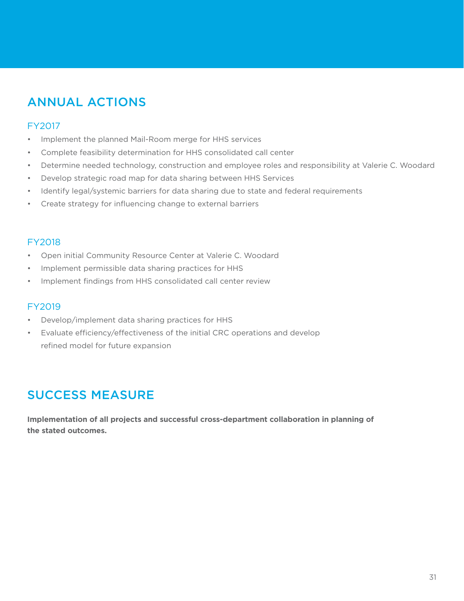#### FY2017

- Implement the planned Mail-Room merge for HHS services
- Complete feasibility determination for HHS consolidated call center
- Determine needed technology, construction and employee roles and responsibility at Valerie C. Woodard
- Develop strategic road map for data sharing between HHS Services
- Identify legal/systemic barriers for data sharing due to state and federal requirements
- Create strategy for influencing change to external barriers

#### FY2018

- Open initial Community Resource Center at Valerie C. Woodard
- Implement permissible data sharing practices for HHS
- Implement findings from HHS consolidated call center review

#### FY2019

- Develop/implement data sharing practices for HHS
- Evaluate efficiency/effectiveness of the initial CRC operations and develop refined model for future expansion

### SUCCESS MEASURE

**Implementation of all projects and successful cross-department collaboration in planning of the stated outcomes.**